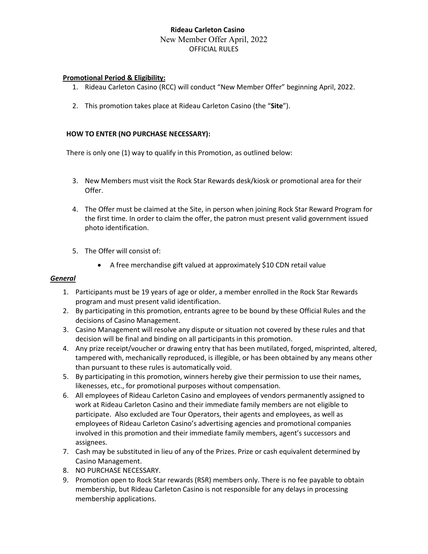# **Rideau Carleton Casino** New Member Offer April, 2022 OFFICIAL RULES

### **Promotional Period & Eligibility:**

- 1. Rideau Carleton Casino (RCC) will conduct "New Member Offer" beginning April, 2022.
- 2. This promotion takes place at Rideau Carleton Casino (the "**Site**").

### **HOW TO ENTER (NO PURCHASE NECESSARY):**

There is only one (1) way to qualify in this Promotion, as outlined below:

- 3. New Members must visit the Rock Star Rewards desk/kiosk or promotional area for their Offer.
- 4. The Offer must be claimed at the Site, in person when joining Rock Star Reward Program for the first time. In order to claim the offer, the patron must present valid government issued photo identification.
- 5. The Offer will consist of:
	- A free merchandise gift valued at approximately \$10 CDN retail value

#### *General*

- 1. Participants must be 19 years of age or older, a member enrolled in the Rock Star Rewards program and must present valid identification.
- 2. By participating in this promotion, entrants agree to be bound by these Official Rules and the decisions of Casino Management.
- 3. Casino Management will resolve any dispute or situation not covered by these rules and that decision will be final and binding on all participants in this promotion.
- 4. Any prize receipt/voucher or drawing entry that has been mutilated, forged, misprinted, altered, tampered with, mechanically reproduced, is illegible, or has been obtained by any means other than pursuant to these rules is automatically void.
- 5. By participating in this promotion, winners hereby give their permission to use their names, likenesses, etc., for promotional purposes without compensation.
- 6. All employees of Rideau Carleton Casino and employees of vendors permanently assigned to work at Rideau Carleton Casino and their immediate family members are not eligible to participate. Also excluded are Tour Operators, their agents and employees, as well as employees of Rideau Carleton Casino's advertising agencies and promotional companies involved in this promotion and their immediate family members, agent's successors and assignees.
- 7. Cash may be substituted in lieu of any of the Prizes. Prize or cash equivalent determined by Casino Management.
- 8. NO PURCHASE NECESSARY.
- 9. Promotion open to Rock Star rewards (RSR) members only. There is no fee payable to obtain membership, but Rideau Carleton Casino is not responsible for any delays in processing membership applications.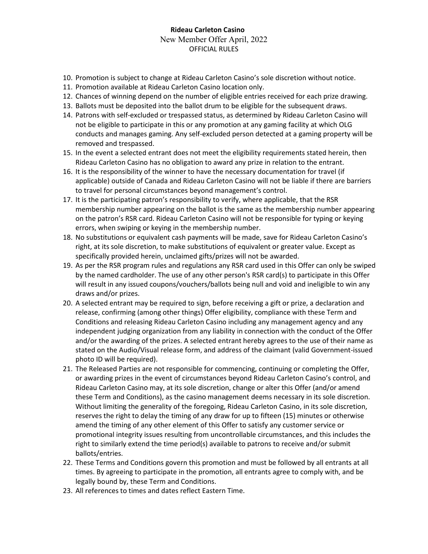# **Rideau Carleton Casino** New Member Offer April, 2022 OFFICIAL RULES

- 10. Promotion is subject to change at Rideau Carleton Casino's sole discretion without notice.
- 11. Promotion available at Rideau Carleton Casino location only.
- 12. Chances of winning depend on the number of eligible entries received for each prize drawing.
- 13. Ballots must be deposited into the ballot drum to be eligible for the subsequent draws.
- 14. Patrons with self-excluded or trespassed status, as determined by Rideau Carleton Casino will not be eligible to participate in this or any promotion at any gaming facility at which OLG conducts and manages gaming. Any self-excluded person detected at a gaming property will be removed and trespassed.
- 15. In the event a selected entrant does not meet the eligibility requirements stated herein, then Rideau Carleton Casino has no obligation to award any prize in relation to the entrant.
- 16. It is the responsibility of the winner to have the necessary documentation for travel (if applicable) outside of Canada and Rideau Carleton Casino will not be liable if there are barriers to travel for personal circumstances beyond management's control.
- 17. It is the participating patron's responsibility to verify, where applicable, that the RSR membership number appearing on the ballot is the same as the membership number appearing on the patron's RSR card. Rideau Carleton Casino will not be responsible for typing or keying errors, when swiping or keying in the membership number.
- 18. No substitutions or equivalent cash payments will be made, save for Rideau Carleton Casino's right, at its sole discretion, to make substitutions of equivalent or greater value. Except as specifically provided herein, unclaimed gifts/prizes will not be awarded.
- 19. As per the RSR program rules and regulations any RSR card used in this Offer can only be swiped by the named cardholder. The use of any other person's RSR card(s) to participate in this Offer will result in any issued coupons/vouchers/ballots being null and void and ineligible to win any draws and/or prizes.
- 20. A selected entrant may be required to sign, before receiving a gift or prize, a declaration and release, confirming (among other things) Offer eligibility, compliance with these Term and Conditions and releasing Rideau Carleton Casino including any management agency and any independent judging organization from any liability in connection with the conduct of the Offer and/or the awarding of the prizes. A selected entrant hereby agrees to the use of their name as stated on the Audio/Visual release form, and address of the claimant (valid Government-issued photo ID will be required).
- 21. The Released Parties are not responsible for commencing, continuing or completing the Offer, or awarding prizes in the event of circumstances beyond Rideau Carleton Casino's control, and Rideau Carleton Casino may, at its sole discretion, change or alter this Offer (and/or amend these Term and Conditions), as the casino management deems necessary in its sole discretion. Without limiting the generality of the foregoing, Rideau Carleton Casino, in its sole discretion, reserves the right to delay the timing of any draw for up to fifteen (15) minutes or otherwise amend the timing of any other element of this Offer to satisfy any customer service or promotional integrity issues resulting from uncontrollable circumstances, and this includes the right to similarly extend the time period(s) available to patrons to receive and/or submit ballots/entries.
- 22. These Terms and Conditions govern this promotion and must be followed by all entrants at all times. By agreeing to participate in the promotion, all entrants agree to comply with, and be legally bound by, these Term and Conditions.
- 23. All references to times and dates reflect Eastern Time.